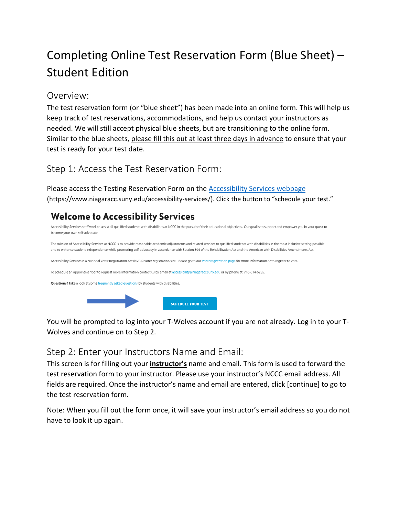# Completing Online Test Reservation Form (Blue Sheet) – Student Edition

#### Overview:

The test reservation form (or "blue sheet") has been made into an online form. This will help us keep track of test reservations, accommodations, and help us contact your instructors as needed. We will still accept physical blue sheets, but are transitioning to the online form. Similar to the blue sheets, please fill this out at least three days in advance to ensure that your test is ready for your test date.

## Step 1: Access the Test Reservation Form:

Please access the Testing Reservation Form on the [Accessibility Services webpage](https://www.niagaracc.suny.edu/accessibility-services/) (https://www.niagaracc.suny.edu/accessibility-services/). Click the button to "schedule your test."

## **Welcome to Accessibility Services**



You will be prompted to log into your T-Wolves account if you are not already. Log in to your T-Wolves and continue on to Step 2.

### Step 2: Enter your Instructors Name and Email:

This screen is for filling out your **instructor's** name and email. This form is used to forward the test reservation form to your instructor. Please use your instructor's NCCC email address. All fields are required. Once the instructor's name and email are entered, click [continue] to go to the test reservation form.

Note: When you fill out the form once, it will save your instructor's email address so you do not have to look it up again.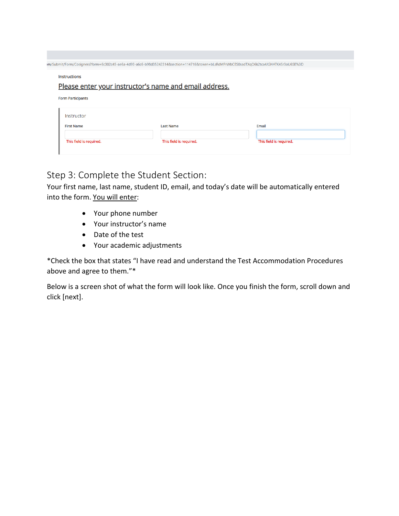|                                        | n/Submit/Form/Cosigners?form=6c302c45-ae6a-4d93-a6c6-b98d35242314&section=114716&token=bLsRdMPrWbCES0sadTXqO6k2tca4JGHATK4Sr3oU6SE%3D |                         |  |
|----------------------------------------|---------------------------------------------------------------------------------------------------------------------------------------|-------------------------|--|
| <b>Instructions</b>                    |                                                                                                                                       |                         |  |
|                                        | Please enter your instructor's name and email address.                                                                                |                         |  |
| <b>Form Participants</b><br>Instructor |                                                                                                                                       |                         |  |
| <b>First Name</b>                      | <b>Last Name</b>                                                                                                                      | Email                   |  |
| This field is required.                | This field is required.                                                                                                               | This field is required. |  |

### Step 3: Complete the Student Section:

Your first name, last name, student ID, email, and today's date will be automatically entered into the form. You will enter:

- Your phone number
- Your instructor's name
- Date of the test
- Your academic adjustments

\*Check the box that states "I have read and understand the Test Accommodation Procedures above and agree to them."\*

Below is a screen shot of what the form will look like. Once you finish the form, scroll down and click [next].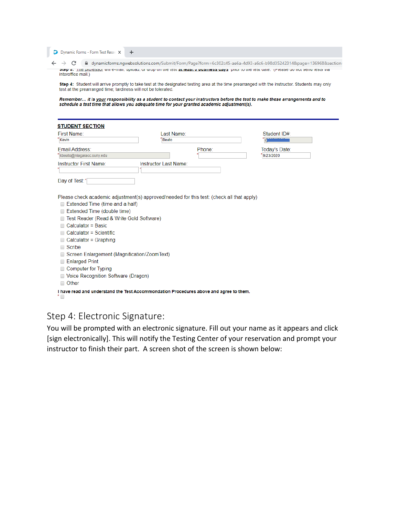D Dynamic Forms - Form Test Reser  $+$ 

 $\rightarrow$   $\textbf{C}$  |  $\blacksquare$  dynamicforms.ngwebsolutions.com/Submit/Form/Page?form=6c302c45-ae6a-4d93-a6c6-b98d35242314&page=136968&section: step s. The bronessor will e-mail, upload, or urop on the test at reast s business uays prior to the test uate. Thease up not send tests via interoffice mail.)

Step 4: Student will arrive promptly to take test at the designated testing area at the time prearranged with the instructor. Students may only test at the prearranged time; tardiness will not be tolerated.

Remember... it is your responsibility as a student to contact your instructors before the test to make these arrangements and to schedule a test time that allows you adequate time for your granted academic adjustment(s).

| First Name:<br>Kevin                                                                                                                                                                                       | Last Name:<br><b>Beato</b> |        | Student ID#:  |
|------------------------------------------------------------------------------------------------------------------------------------------------------------------------------------------------------------|----------------------------|--------|---------------|
| <b>Email Address:</b>                                                                                                                                                                                      |                            | Phone: | Today's Date: |
| kbeato@niagaracc.suny.edu                                                                                                                                                                                  |                            |        | 9/23/2020     |
| Instructor First Name:                                                                                                                                                                                     | Instructor Last Name:      |        |               |
| Day of Test:*                                                                                                                                                                                              |                            |        |               |
|                                                                                                                                                                                                            |                            |        |               |
|                                                                                                                                                                                                            |                            |        |               |
| Extended Time (time and a half)<br>Extended Time (double time)<br>Test Reader (Read & Write Gold Software)<br>Calculator = Basic<br>Calculator = Scientific<br>$Calculator = Graphing$<br>Scribe<br>$\Box$ |                            |        |               |
| Screen Enlargement (Magnification/ZoomText)                                                                                                                                                                |                            |        |               |
| <b>Enlarged Print</b>                                                                                                                                                                                      |                            |        |               |
| <b>Computer for Typing</b>                                                                                                                                                                                 |                            |        |               |
| Voice Recognition Software (Dragon)<br>Other<br>□                                                                                                                                                          |                            |        |               |

#### Step 4: Electronic Signature:

You will be prompted with an electronic signature. Fill out your name as it appears and click [sign electronically]. This will notify the Testing Center of your reservation and prompt your instructor to finish their part. A screen shot of the screen is shown below: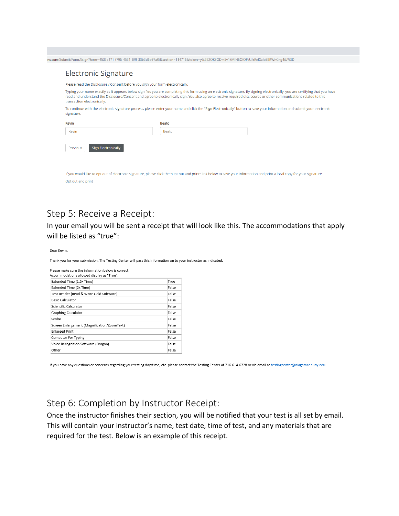|                                        | Please read the Disclosure / Consent before you sign your form electronically.                                                                                                                                                                                                                                                                        |  |
|----------------------------------------|-------------------------------------------------------------------------------------------------------------------------------------------------------------------------------------------------------------------------------------------------------------------------------------------------------------------------------------------------------|--|
| transaction electronically.            | Typing your name exactly as it appears below signifies you are completing this form using an electronic signature. By signing electronically, you are certifying that you have<br>read and understand the Disclosure/Consent and agree to electronically sign. You also agree to receive required disclosures or other communications related to this |  |
| signature.                             | To continue with the electronic signature process, please enter your name and click the "Sign Electronically" button to save your information and submit your electronic                                                                                                                                                                              |  |
| <b>Kevin</b>                           | <b>Beato</b>                                                                                                                                                                                                                                                                                                                                          |  |
| Kevin                                  | Beato                                                                                                                                                                                                                                                                                                                                                 |  |
| <b>Sign Electronically</b><br>Previous |                                                                                                                                                                                                                                                                                                                                                       |  |

#### Step 5: Receive a Receipt:

In your email you will be sent a receipt that will look like this. The accommodations that apply will be listed as "true":

Dear Kevin.

Thank you for your submission. The Testing Center will pass this information on to your instructor as indicated.

| Please make sure the information below is correct.<br>Accommodations allowed display as "True": |       |
|-------------------------------------------------------------------------------------------------|-------|
| Extended Time (1.5x Time)                                                                       | True  |
| Extended Time (2x Time)                                                                         | False |
| Test Reader (Read & Write Gold Software)                                                        | False |
| <b>Basic Calculator</b>                                                                         | False |
| Scientific Calculator                                                                           | False |
| Graphing Calculator                                                                             | False |
| Scribe                                                                                          | False |
| Screen Enlargement (Magnification/ZoomText)                                                     | False |
| <b>Enlarged Print</b>                                                                           | False |
| Computer For Typing                                                                             | False |
| Voice Recognition Software (Dragon)                                                             | False |
| Other                                                                                           | False |

If you have any questions or concerns regarding your testing day/time, etc. please contact the Testing Center at 716-614-6728 or via email at testingcenter@niagaracc.suny.edu.

#### Step 6: Completion by Instructor Receipt:

Once the instructor finishes their section, you will be notified that your test is all set by email. This will contain your instructor's name, test date, time of test, and any materials that are required for the test. Below is an example of this receipt.